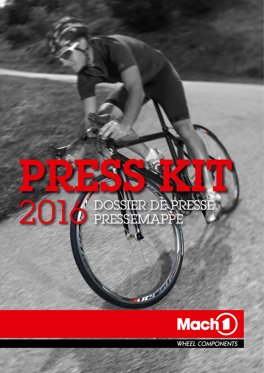# PRESS KIT O DOSSIER DE PRESSE

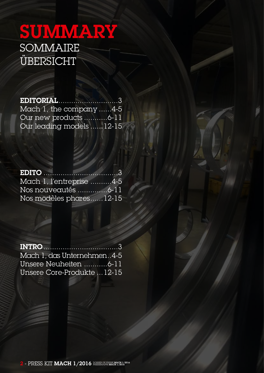# SUMMARY **SOMMAIRE ÜBERSICHT**

Editorial............................3 Mach 1, the company ......4-5 Our new products ...........6-11 Our leading models ......12-15

EDITO ...................................3 Mach 1, l'entreprise ..........4-5 Nos nouveautés ..............6-11 Nos modèles phares......12-15

Intro...................................3 Mach 1, das Unternehmen..4-5 Unsere Neuheiten ...........6-11 Unsere Core-Produkte ...12-15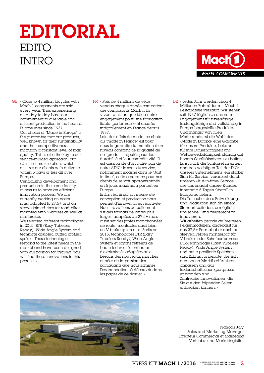# Editorial EDITO **INTRO**



Mach 1 components are sold every year. Thus experiencing on a day-to-day basis our commitment to a reliable and efficient production in the heart of Europe ever since 1937. Our choice of "Made in Europe" is the guarantee that our products, well known for their sustainability and their competitiveness, maintain a constant level of high quality. This is also the key to our service-minded approach, our « Just in time » solution, which ensures our clients with deliveries within 5 days or less all over Europe.

Centralising development and production in the same facility allows us to have an efficient innovation process. We are currently working on wider rims, adapted to 27,5+ and on sleeve jointed rims for road bikes mounted with V-brakes as well as disc-brakes.

We released different technologies in 2015: ETR (Easy Tubeless Ready), Wide Angle System and technical doubled butted profiled spokes. These technologies respond to the latest needs in the market and have been designed with our passion for cycling. You will find these innovations in this press kit.»

 $\overline{\text{GB}}$  « Close to 4 million bicycles with FR « Près de 4 millions de vélos  $\overline{\text{DE}}$ « Près de 4 millions de vélos vendus chaque année comportent des composants Mach1. Ils vivent ainsi au quotidien notre engagement pour une fabrication fiable, performante et assurée intégralement en France depuis 1937.

Loin des effets de mode, ce choix du "made in France" est pour nous la garantie du maintien d'un niveau constant de la qualité de nos produits, réputés pour leur durabilité et leur compétitivité. Il est aussi la clé d'un autre pan de notre ADN : le sens du service, notamment incarné dans le "Just in time", cette assurance pour nos clients de se voir approvisionnés en 5 jours maximum partout en Europe.

Enfin, réunir sur un même site conception et production nous permet d'innover avec réactivité. Nous travaillons actuellement sur des formats de jantes plus larges, adaptées au 27,5+ mais aussi sur des jantes manchonnées de route, montables aussi bien en V-brake qu'en disc. Sortis en 2015, technologies ETR (Easy Tubeless Ready), Wide Angle System et rayons rétreints de haute technicité sont autant d'exclusivités adaptées aux besoins des nouveaux marchés et nées de la passion des pratiquants que nous sommes. Des innovations à découvrir dans les pages de ce dossier. »

« Jedes Jahr werden circa 4 Millionen Fahrräder mit Mach 1 Bestandteile verkauft. Wir stehen seit 1937 täglich zu unserem Engagement für zuverlässige, leistungsfähige und vollständig in Europa hergestellte Produkte. Unabhängig von allen Modetrends, ist die Wahl des «Made in Europa» eine Garantie für unsere Produkte, bekannt für ihre Dauerhaftigkeit und Wettbewerbsfähigkeit, ständig auf hohem Qualitätsniveau zu halten. Es ist auch der Schlüssel zu einem anderen wichtigen Teil der DNA unseres Unternehmens: ein starker Sinn für Service, verankert durch unseren «Just-in-time» Service, der uns erlaubt unsere Kunden innerhalb 5 Tagen überall in Europa zu liefern.

> Die Tatsache, dass Entwicklung und Produktion sich an einem Standort befinden, ermöglicht uns schnell und zielgerecht zu innovieren.

Wir arbeiten gerade an breiteren Felgenmodellen, angepasst für das 27,5+ Format aber auch an Sleeved Felgen montierbar für V-brakes oder Scheibenbremsen. ETR-Technologie (Easy Tubeless Ready), Wide Angle System und neue profilierte Speichen sind Exklusivangebote, die sich den neuen Marktbedürfnissen anpassen und aus leidenschaftlicher Sportpraxis entstanden sind.

Zahlreiche Innovationen, die Sie auf den folgenden Seiten entdecken können. »



François Joly Sales and Marketing Manager Directeur Commercial et Marketing Vertriebs- und Marketingleiter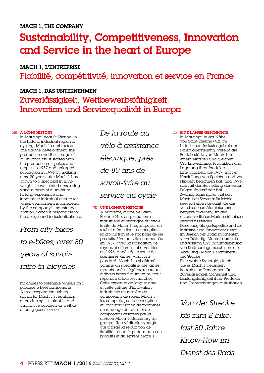# Sustainability, Competitiveness, Innovation and Service in the heart of Europe

Mach 1, l'entreprise Fiabilité, compétitivité, innovation et service en France

### Mach 1, Das Unternehmen Zuverlässigkeit, Wettbewerbsfähigkeit, Innovation und Servicequalität in Europa

#### GB A LONG HISTORY

In Marclopt, near St Etienne, in the historic industrial region of cycling, Mach 1 combines on one site the development, the production and the storage of all its products. It started with the production of spokes and nipples in 1937 and enlarged its production in 1996 by making rims. 20 years later Mach 1 has grown to a specialist in lightweight sleeve jointed rims, using various types of aluminium. Its long experience and innovative industrial culture for wheel components is completed by the company's machinery division, which is responsible for the design and industrialization of

*From city-bikes to e-bikes, over 80 years of savoirfaire in bicycles*

machines to assemble wheels and produce wheel components. A true cooperation, which stands for Mach 1's reputation of producing sustainable and qualitative products as well as offering good services.

*De la route au vélo à assistance électrique, près de 80 ans de savoir-faire au service du cycle*

#### FR UNE LONGUE HISTOIRE

À Marclopt, à côté de Saint-Étienne (42), en pleine terre industrielle et historique du cycle, le site de Mach 1 regroupe sur un seul et même lieu la conception, la production et le stockage de ses produits. Une activité commencée en 1937, avec la fabrication de rayons et d'écrous, et diversifiée en 1996, année de la sortie des premières jantes. Vingt ans plus tard, Mach 1 s'est affirmé comme un spécialiste des jantes manchonnées légères, recourant à divers types d'aluminium, pour répondre à tous les marchés. Cette expertise de longue date et cette culture d'innovation industrielle en matière de composants de roues, Mach 1 les complète par la conception et l'industrialisation de machines de montage de roues et de composants assurées par la division Mach 1 Machinery du groupe. Une véritable synergie, qui a forgé la réputation de fiabilité, sécurité, performance des produits et du service Mach 1.

#### DE EINE LANGE GESCHICHTE

In Marclopt, in der Nähe von Saint-Étienne (42), im historischen Industriegebiet der Fahrradherstellung, vereint die Betriebsstätte von Mach 1 in einem einzigen und gleichen Ort, Entwicklung, Produktion und Lagerung ihrer Produkte. Eine Tätigkeit, die 1937, mit der Herstellung von Speichen und von Nippeln begonnen hat, und 1996, sich mit der Herstellung der ersten Felgen diversifiziert hat. Zwanzig Jahre später, hat sich Mach 1 als Spezialist für leichte sleeved Felgen bewährt, die aus verschiedenen Aluminiumarten hergestellt werden, um den unterschiedlichen Marktbedürfnissen gerecht zu werden. Diese langjährige Expertise und die Industrie- und Innovationskultur im Bereich der Radkomponenten vervollständigt Mach 1 durch die Entwicklung und Industrialisierung von Radmontagemaschinen, die Abteilung « Mach 1 Machinery » der Gruppe. Eine wahre Synergie, durch

die es Mach 1 gelungen ist, sich eine Renommee für Zuverlässigkeit, Sicherheit und Leistungsfähigkeit ihrer Produkte und Dienstleistungen aufzubauen.

*Von der Strecke bis zum E-bike, fast 80 Jahre Know-How im Dienst des Rads.*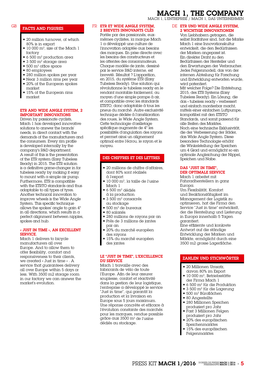#### Mach 1, the company

Mach 1, L'ENTREPRISE / Mach 1, Das Unternehmen

#### Facts and figures

- 20 million turnover, of which 80% is in export
- 10 000 m2, size of the Mach 1 factory
- $\bullet$  6.500 m<sup>2</sup> production area
- $\bullet$  3 500 m<sup>2</sup> storage area
- $\blacksquare$  500 m<sup>2</sup> office space
- 80 employees
- 280 million spokes per year
- Near 3 million rims per year
- 20% of the European spokes market
- 15% of the European rims market

#### ETR and Wide Angle System, 2 important innovations

Driven by passionate cyclists, Mach 1 has developed innovative solutions to answer the brands' needs, in direct contact with the demands of the manufacturers and the consumers. Every rim profile is developed internally by the company's R&D department. A result of this is the presentation of the ETR system (Easy Tubeless Ready) in 2015. The ETR solution is a definitive game-changer in for tubeless ready by making it easy to mount with  $\alpha$  simple  $\alpha$ ir pump. Furthermore, ETR is compatible with the ETRTO standards and thus adaptable to all types of tyres. Another technical innovation to improve wheels is the Wide Angle System. This specific technique allows the spokes' angle to gain 4° in all directions, which results in  $\alpha$ perfect alignment between nipples, spokes and hub.

#### « Just in time », an excellent service.

Mach 1 delivers to bicycle manufacturers all over Europe. And to allow them to offer flexibility, comfort and responsiveness to their clients, we created « Just in time « . A service that guarantees delivery all over Europe within 5 days or less. With 3500 m2 storage room in our factory we can answer the market's evolution.

#### GB FROUGHT AND EIGHDES SERVICE ANGLE SYSTEM, DE 2 brevets innovants clés

Portée par des passionnés, euxmêmes cyclistes, la marque Mach 1 a développé une culture de l'innovation adaptée aux besoins des marques. En prise directe avec les besoins des constructeurs et les attentes des consommateurs. Chaque modèle de jante, dessiné par le service R&D interne, est breveté. Résultat ? L'apparition, en 2015, du système ETR (Easy Tubeless Ready). Une solution qui révolutionne le tubeless ready en le rendant montable facilement, au moyen d'une simple pompe à air, et compatible avec les standards ETRTO, donc adaptable à tous les pneus du marché. Autre exclusivité <del>.</del><br>technique dédiée à l'amélioration des roues, le Wide Angle System. Cette technologie d'œilletage spécifique augmente de 4° les possibilités d'angulation des rayons et permet ainsi un alignement optimal entre l'écrou, le rayon et le moyeu.

#### Des chiffres et des lettres

- 20 millions de chiffre d'affaires, dont 80% sont réalisés à l'export
- $\bullet$  10 000 m<sup>2</sup>, la taille de l'usine Mach 1
- $\bullet$  6 500 m<sup>2</sup> dédiés
- à la production  $\blacksquare$  3 500 m<sup>2</sup> consacrés
- au stockage  $\bullet$  500 m<sup>2</sup> de bureaux
- 80 salariés
- 280 millions de rayons par an
- Près de 3 millions de jantes
- par an • 20% du marché européen
- des rayons
- 15% du marché européen des jantes

#### Le "Just in time", l'excellence du service

Mach 1 travaille avec des fabricants de vélo de toute l'Europe. Afin de leur assurer souplesse, confort et réactivité dans la gestion de leur logistique, l'entreprise a développé le service "Just in time", qui garantit la production et la livraison en Europe sous 5 jours maximum. Une réponse concrète et efficace à l'évolution constante des marchés pour les marques, rendue possible grâce aux 3500 m2 de l'usine dédiés au stockage.

#### DE ETR UND WIDE ANGLE SYSTEM, 2 wichtige Innovationen

Von Liebhabern getragen, die selbst Radfahrer sind, hat die Marke Mach 1 eine Innovationskultur entwickelt, die den Bedürfnissen der Marken angepasst ist. Ein direkter Draht zu den Bedürfnissen der Hersteller und den Erwartungen der Verbraucher. Jedes Felgenmodell, das von der internen Abteilung für Forschung und Entwicklung entworfen wurde, wird patentiert.

Mit welcher Folge? Die Entstehung, 2015, des ETR Systems (Easy Tubeless Ready). Ein Lösung, die das « tubeless ready » verbessert und einfach montierbar macht, mittels einer einfachen Luftpumpe, kompatibel mit den ETRTO Standards, und somit passend für alle Reifen des Marktes. Noch eine technische Exklusivität, die der Verbesserung der Räder, das Wide Angle System. Diese besondere Technologie erhöht die Winkelstellung der Speichen um 4 Grad und ermöglicht so ein optimale Angleichung der Nippel, Speichen und Nabe.

#### Das "Just in time", der optimale Service

Mach 1 arbeitet mit Fahrradherstellern in ganz Europa

Um Flexibilität, Komfort und Reaktionsfähigkeit im Management der Logistik zu optimieren, hat die Firma den Service "Just in time" entwickelt, der die Herstellung und Lieferung in Europa innerhalb 5 Tagen garantiert.

Eine effiziente und konkrete Antwort auf die ständige Entwicklung der Marken und Märkte, ermöglicht durch eine 3500 m2 grosse Lagerfläche.

#### Zahlen und Stichwörter

- 20 Millionen Umsatz, davon 80% im Export
- 10 000 m<sup>2</sup>, Betriebsstätte der Firma Mach 1
- 6 500 m2 für die Produktion
- 3 500 m2 für die Lagerung
- 500 m<sup>2</sup> Büroflächen
- 80 Angestellte
- 280 Millionen Speichen produziert pro Jahr
- Fast 3 Millionen Felgen produziert pro Jahr
- 20% des europäischen Speichenmarktes
- 15% des europäischen Felgenmarktes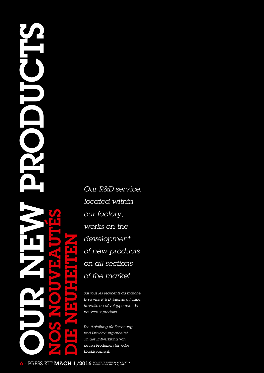# **JA Holdreich** N. wuveautés **MENNEL EINE** euh Nos no  $\overline{\mathbf{Z}}$ Die

*Our R&D service, located within our factory, works on the development of new products on all sections of the market.*

*Sur tous les segments du marché, le service R & D, interne à l'usine, travaille au développement de nouveaux produits.*

*Die Abteilung für Forschung und Entwicklung arbeitet an der Entwicklung von neuen Produkten für jedes Marktsegment.*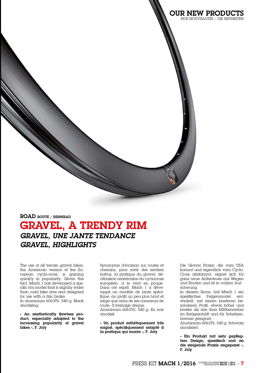

The use of all terrain gravel bikes, the American version of the European cyclo-cross, is gaining quickly in popularity. Given this fact, Mach 1 has developed a specific rim model that is slightly wider than road bike rims and designed for use with a disc brake.

In aluminium 6063T6, 540 g. Black anodizing.

« An aesthetically flawless product, especially adapted to the increasing popularity of gravel bikes », F. Joly

Synonyme d'évasion sur routes et chemins, pour sortir des sentiers battus, la pratique du gravel, déclinaison américaine du cyclocross européen, a le vent en poupe. Dans cet esprit, Mach 1 a développé un modèle de jante spécifique, au profil un peu plus haut et large que celui de ses consœurs de route, à freinage disque.

Aluminium 6063T6, 540 g. En noir anodisé.

« Un produit esthétiquement très soigné, spécifiquement adapté à la pratique qui monte », F. Joly

Die Gravel Praxis, die vom USA kommt und eigentlich vom Cyclo-Cross abstammt, eignet sich für ganz neue Abtenteuer auf Wegen und Routen und ist in vollem Aufschwung.

OUR NEW PRODUCTS NOS NOUVEAUTÉS / Die Neuheiten

> In diesem Sinne, hat Mach 1 ein spezifisches Felgenmodel entwickelt, mit einem breiteren besonderen Profil, etwas höher und breiter als das ihrer Mittbewerber im Radgeschäft und für Scheibenbremse geeignet.

> Aluminium 6063T6, 540 g. Schwarz anodisiert.

> « Ein Produkt mit sehr gepflegtem Design, spezifisch und an die steigende Praxis angepasst », F. Joly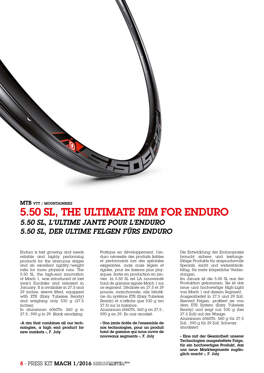

MTB VTT / MOUNTAINBIKE

# 5.50 SL, The ultimate rim for enduro *5.50 SL, L'ultime jante pour l'enduro 5.50 SL, Der ultime Felgen fürs Enduro*

Enduro is fast growing and needs reliable and highly performing products for the strenuous stages and an excellent rigidity/weight ratio for more physical runs. The 5.50 SL, the high-end innovation of Mach 1, was introduced at last year's Eurobike and released in January. It is available in 27,5 and 29 inches, sleeve fitted, equipped with ETR (Easy Tubeless Ready) and weighing only 530 g (27,5 inches).

In aluminium 6060T6, 560 g in 27,5; 590 g in 29. Black anodizing.

«A rim that combines all our technologies, a high end product for new markets », F. Joly

Pratique en développement, l'enduro nécessite des produits fiables et performants lors des spéciales exigeantes, mais aussi légers et rigides, pour les liaisons plus physiques. Sortie en production en janvier, la 5.50 SL est LA nouveauté haut de gamme signée Mach 1 sur ce segment. Déclinée en 27,5 et 29 pouces, manchonnée, elle bénéficie du système ETR (Easy Tubeless Ready) et n'affiche que 530 g (en 27,5) sur la balance.

Aluminium 6060T6, 560 g en 27,5 ; 590 g en 29. En noir anodisé.

« Une jante dotée de l'ensemble de nos technologies, pour un produit haut de gamme qui nous ouvre de nouveaux segments », F. Joly

Die Entwicklung der Enduropraxis braucht sichere und leistungsfähige Produkte für anspruchsvolle Specials, leicht und widerstandsfähig, für mehr körperliche Verbindungen.

Im Januar ist die 5.50 SL aus der Produktion gekommen. Sie ist das neue und hochwertige High-Light von Mach 1 auf diesem Segment. Ausgearbeitet in 27,5 und 29 Zoll, Sleeved Felgen, profitiert sie von dem ETR System (Easy Tubeless Ready) und zeigt nur 530 g (bei 27,5 Zoll) auf der Waage. Aluminium 6060T6, 560 g für 27,5

Zoll ; 590 g für 29 Zoll. Schwarz anodisiert.

« Eine mit der Gesamtheit unserer Technologien ausgestattete Felge, für ein hochwertiges Produkt, das uns neue Marktsegmente zugänglich macht », F. Joly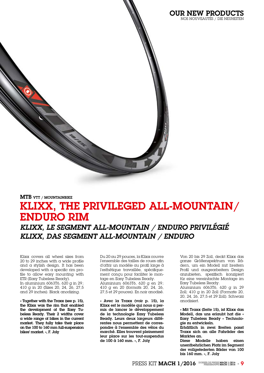

MTB VTT / MOUNTAINBIKE

# KLIXX, The privileged All-mountain/ enduro rim *KLIXX, Le segment all-mountain / enduro privilégié KLIXX, Das Segment all-mountain / Enduro*

Klixx covers all wheel sizes from 20 to 29 inches with a wide profile and a stylish design. It has been developed with a specific rim profile to allow easy mounting with ETR (Easy Tubeless Ready). In aluminium 6063T6, 620 g in 29; 410 g in 20 (Sizes 20, 24, 26, 27,5 and 29 inches). Black anodizing.

« Together with the Traxx (see p. 15), the Klixx was the rim that enabled the development of the Easy Tubeless Ready. Their 2 widths cover a wide range of bikes in the current market. They fully take their place on the 100 to 160 mm full-suspension bikes' market. », F. Joly

Du 20 au 29 pouces, la Klixx couvre l'ensemble des tailles de roues afin d'offrir un modèle au profil large à l'esthétique travaillée, spécifiquement conçu pour faciliter le montage en Easy Tubeless Ready. Aluminium 6063T6, 620 g en 29; 410 g en 20 (formats 20, 24, 26, 27,5 et 29 pouces). En noir anodisé.

« Avec la Traxx (voir p. 15), la Klixx est le modèle qui nous a permis de lancer le développement de la technologie Easy Tubeless Ready. Leurs deux largeurs différentes nous permettent de correspondre à l'ensemble des vélos du marché. Elles trouvent pleinement leur place sur les tout-suspendus de 100 à 160 mm. », F. Joly

Von 20 bis 29 Zoll, deckt Klixx das ganze Größenspektrum von Rädern, um ein Modell mit breitem Profil und ausgearbeitem Design anzubieten, spezifisch konzipiert für eine vereinfachte Montage im Easy Tubeless Ready.

Aluminium 6063T6, 620 g in 29 Zoll; 410 g in 20 Zoll (Formate 20, 20, 24, 26, 27,5 et 29 Zoll). Schwarz anodisiert.

« Mit Traxx (Seite 15), ist Klixx das Modell, das uns erlaubt hat die « Easy Tubeless Ready » Technologie zu entwickeln.

Erhältlich in zwei Breiten passt Traxx sich an alle Fahräder des Marktes an.

Diese Modelle haben einen unentbehrlichen Platz im Segment der vollgefederten Räder von 100 bis 160 mm. », F. Joly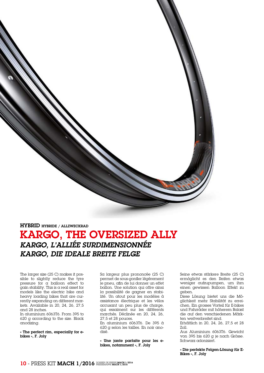

#### HYBRID HYBRIDE / ALLZWECKRAD

## KARGO, The oversized ally *KARGO, L'alliée surdimensionnée KARGO, Die ideale breite Felge*

The larger size (25 C) makes it possible to slightly reduce the tyre pressure for a balloon effect to gain stability. This is a real asset for models like the electric bike and heavy loading bikes that are currently expanding on different markets. Available in 20, 24, 26, 27,5 and 28 inches.

In aluminium 6063T6. From 395 to 620 g according to the size. Black anodizing.

« The perfect rim, especially for ebikes », F. Joly

Sa largeur plus prononcée (25 C) permet de sous-gonfler légèrement le pneu, afin de lui donner un effet ballon. Une solution qui offre ainsi la possibilité de gagner en stabilité. Un atout pour les modèles à assistance électrique et les vélos accusant un peu plus de charge, qui essaiment sur les différents marchés. Déclinée en 20, 24, 26, 27,5 et 28 pouces.

En aluminium 6063T6. De 395 à 620 g selon les tailles. En noir anodisé.

« Une jante parfaite pour les ebikes, notamment », F. Joly

Seine etwas stärkere Breite (25 C) ermöglicht es den Reifen etwas weniger aufzupumpen, um ihm einen gewissen Balloon Effekt zu geben.

Diese Lösung bietet uns die Möglichkeit mehr Stabilität zu erreichen. Ein grosses Vorteil für E-bikes und Fahrräder mit höherem Balast die auf den verschiedenen Märkten weitverbreitet sind.

Erhältlich in 20, 24, 26, 27,5 et 28 Zoll.

Aus Aluminium 6063T6. Gewicht von 395 bis 620 g je nach Grösse. Schwarz adonisiert.

« Die perfekte Felgen-Lösung für E-Bikes », F. Joly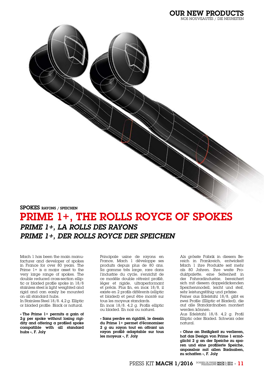SPOKES RAYONS / SPEICHEN

# PRIME 1+, The Rolls Royce of spokes *PRIME 1+, La Rolls des rayons PRIME 1+, Der Rolls Royce der Speichen*

Mach 1 has been the main manufacturer and developer of spokes in France for over 80 years. The Prime  $1+$  is a major asset to the very large range of spokes. The double reduced cross-section elliptic or bladed profile spoke in 18/8 stainless steel is light weighted and rigid and can easily be mounted on all standard hubs.

In Stainless Steel 18/8. 4,2 g. Elliptic or bladed profile. Black or natural.

« The Prime  $1+$  permits a gain of 2g per spoke without losing rigidity and offering a profiled spoke compatible with all standard hubs », F. Joly

Principale usine de rayons en France, Mach 1 développe ses produits depuis plus de 80 ans. Sa gamme très large, rare dans l'industrie du cycle, s'enrichit de ce modèle double rétreint profilé, léger et rigide, ultraperformant et précis. Plus fin, en inox 18/8, il existe en 2 profils différents (elliptic et bladed) et peut être monté sur tous les moyeux standards. En inox 18/8. 4,2 g. Profils elliptic ou bladed. En noir ou naturel.

« Sans perdre en rigidité, le dessin du Prime 1+ permet d'économiser 2 g au rayon tout en offrant un rayon profilé adaptable sur tous les moyeux », F. Joly

Als grösste Fabrik in diesem Bereich in Frankreich, entwickelt Mach 1 ihre Produkte seit mehr als 80 Jahren. Ihre weite Produktpalette, eine Seltenheit in der Fahrradindustrie, bereichert sich mit diesem doppeldickenden Speichenmodell, leicht und steif, sehr leistungsfähig und präzise. Feiner aus Edelstahl 18/8, gibt es zwei Profile (Elliptic et Bladed), die auf alle Standardnaben montiert werden können.

Aus Edelstahl 18/8. 4,2 g. Profil Elliptic oder Bladed. Schwarz oder natural.

« Ohne an Steifigkeit zu verlieren, hat das Design von Prime 1 ermöglicht 2 g an der Speiche zu sparen und eine profilierte Speiche, anpassbar mit allen Radnaben, zu schaffen », F. Joly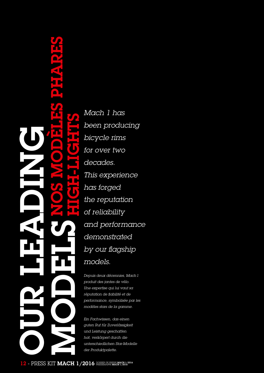# modèles phares ing C ghtp P. -Li hNos gdiHamodels **OUR LE**

<sup>s</sup>*Mach 1 has been producing bicycle rims for over two decades. This experience has forged the reputation of reliability and performance demonstrated by our flagship models.*

*Depuis deux décennies, Mach1 produit des jantes de vélo. Une expertise qui lui vaut sa réputation de fiabilité et de performance, symbolisée par les modèles stars de la gamme.*

*Ein Fachwissen, das einen guten Ruf für Zuverlässigkeit und Leistung geschaffen hat, verkörpert durch die unterschiedlichen Star-Modelle der Produktpalette.*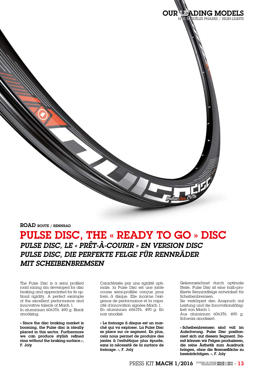

#### ROAD ROUTE / RENNRAD

## PULSE DISC, The « Ready to go » disc *PULSE DISC, Le « prêt-à-courir » en version disc PULSE DISC, Die perfekte Felge für Rennräder mit Scheibenbremsen*

The Pulse Disc is a semi profiled road racing rim developed for disc braking and appreciated for its optimal rigidity. A perfect example of the excellent performance and innovative talents of Mach 1. In aluminium 6063T6. 490 g. Black anodizing.

« Since the disc braking market is booming, the Pulse disc is ideally placed in this sector. Furthermore we can produce stylish refined rims without the braking surface.», F. Joly

Caractérisée par une rigidité optimale, la Pulse Disc est une jante course semi-profilée conçue pour frein à disque. Elle incarne l'exigence de performance et la capacité d'innovation signées Mach 1. En aluminium 6063T6. 490 g. En noir anodisé.

« Le freinage à disque est un marché qui va exploser. La Pulse Disc se place sur ce segment. En plus, cela nous permet de produire des jantes à l'esthétique plus épurée, sans la nécessité de la surface de freinage. », F. Joly

Gekennzeichnet durch optimale Steife, Pulse Disc ist eine halb-profilierte Rennradfelge entwickelt für Scheibenbremsen.

Sie verkörpert den Anspruch auf Leistung und die Innovationsfähigkeit von Mach 1.

Aus aluminium 6063T6. 490 g. Schwarz anodisiert.

« Scheibenbremsen sind voll im Aufschwung. Pulse Disc positionniert sich auf diesem Segment. Damit können wir Felgen produzieren, die reine Ästhetik zum Ausdruck bringen, ohne die Bremsefläche zu beeinträchtigen. », F. Joly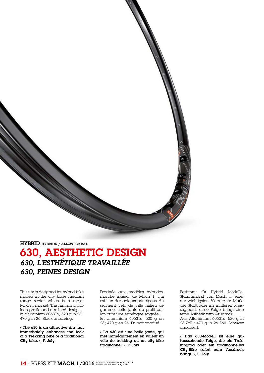HYBRID HYBRIDE / ALLZWECKRAD

# 630, AESTHETIC DESIGN *630, L'esthétique travaillée 630, Feines Design*

This rim is designed for hybrid bike models in the city bikes medium range sector which is a major Mach 1 market. This rim has a balloon profile and a refined design. In aluminium 6063T6, 520 g in 28 ; 470 g in 26. Black anodizing.

« The 630 is an attractive rim that immediately enhances the look of a Trekking bike or a traditional City-bike. », F. Joly

Destinée aux modèles hybrides, marché majeur de Mach 1, qui est l'un des acteurs principaux du segment vélo de ville milieu de gamme, cette jante au profil ballon offre une esthétique soignée. En aluminium 6063T6, 520 g en 28; 470 g en 26. En noir anodisé.

« La 630 est une belle jante, qui met immédiatement en valeur un vélo de trekking ou un city-bike traditionnel. », F. Joly

Bestimmt für Hybrid Modelle, Stammmarkt von Mach 1, einer der wichtigsten Akteure im Markt der Stadträder im mittleren Preissegment, diese Felge bringt eine feine Ästhetik zum Ausdruck. Aus Alluminium 6063T6, 520 g in 28 Zoll ; 470 g in 26 Zoll. Schwarz anodisiert.

« Das 630-Modell ist eine gutaussehende Felge, die ein Trekkingrad oder ein traditionnelles City-Bike sofort zum Ausdruck bringt. », F. Joly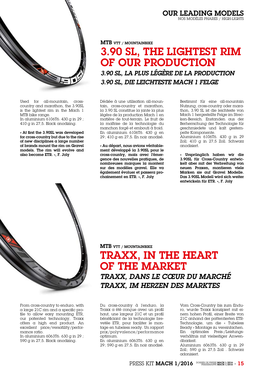

Used for all-mountain, crosscountry and marathon, the 3.90SL is the lightest rim in the Mach 1 MTB bike range.

In aluminium 6106T6. 430 g in 29 ; 410 g in 27,5. Black anodizing.

« At first the 3.90SL was developed for cross-country but due to the rise of new disciplines a large number of brands mount the rim on Gravel models. The rim will evolve and also become ETR. », F. Joly

MTB VTT / MOUNTAINBIKE

# 3.90 SL, The lightest rim of our production *3.90 SL, La plus légère de la production 3.90 SL, Die leichteste Mach 1 Felge*

Dédiée à une utilisation all-mountain, cross-country et marathon, la 3.90 SL constitue la jante la plus légère de la production Mach 1 en matière de tout-terrain. Le fruit de la maîtrise de la technologie du manchon forgé et embouti à froid. En aluminium 6106T6. 430 g en 29; 410 g en 27,5. En noir anodisé.

« Au départ, nous avions véritablement développé la 3.90SL pour le cross-country, mais avec l'émergence des nouvelles pratiques, de nombreuses marques la montent sur des modèles gravel. Elle va également évoluer et passera prochainement en ETR. », F. Joly

Bestimmt für eine all-mountain Nutzung, cross-country oder marathon, 3.90 SL ist die leichteste von Mach 1 hergestellte Felge im Strecken-Bereich. Enstanden aus der Berherrschung der Technologie für geschmiedete und kalt gestempelte Komponente. Aluminium 6106T6. 430 g in 29

Zoll; 410 g in 27,5 Zoll. Schwarz anodisiert.

« Ursprünglich haben wir die 3.90SL für Cross-Country entwickelt aber mit der Verbreitung von neuen Praxen, montieren viele Marken sie auf Gravel Modelle. Das 3.90SL Modell wird sich weiter entwickeln für ETR. », F. Joly



From cross-country to enduro, with a large 21C rim and a specific profile to allow easy mounting ETR, our patented technology, Traxx offers a high end product. An excellent price/versatility/performance ratio.

In aluminium 6063T6. 630 g in 29 ; 590 g in 27,5. Black anodizing.

#### MTB VTT / MOUNTAINBIKE

TRAXX, In the heart of the market *TRAXX, Dans le cœur du marché TRAXX, Im Herzen des Marktes*

Du cross-country à l'enduro, la Traxx a été conçue avec un profil haut, une largeur 21C et un profil bénéficiant de la technologie brevetée ETR, pour faciliter le montage en tubeless ready. Un rapport prix/polyvalence/performance optimum.

En aluminium 6063T6. 630 g en 29; 590 g en 27,5. En noir anodisé.

Vom Cross-Country bis zum Enduro, wurde Traxx konzipiert mit einem hohen Profil, einer Breite von 21C anhand der pattentierten ETR-Technologie, um die « Tubeless Ready » Montage zu vereinfachen. Ein optimales Preis-/Leistungsverhältnis mit vielseitiger Anwendbarkeit.

Aluminium 6063T6. 630 g in 29 Zoll; 590 g in 27,5 Zoll . Schwarz adonisiert.